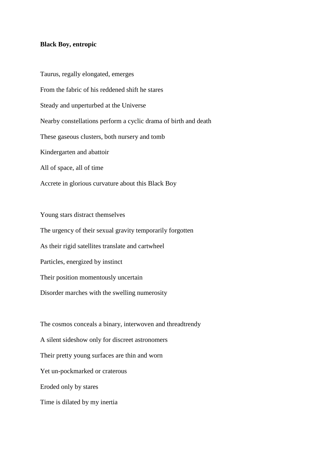## **Black Boy, entropic**

Taurus, regally elongated, emerges From the fabric of his reddened shift he stares Steady and unperturbed at the Universe Nearby constellations perform a cyclic drama of birth and death These gaseous clusters, both nursery and tomb Kindergarten and abattoir All of space, all of time

Accrete in glorious curvature about this Black Boy

Young stars distract themselves The urgency of their sexual gravity temporarily forgotten As their rigid satellites translate and cartwheel Particles, energized by instinct Their position momentously uncertain Disorder marches with the swelling numerosity

The cosmos conceals a binary, interwoven and threadtrendy A silent sideshow only for discreet astronomers Their pretty young surfaces are thin and worn Yet un-pockmarked or craterous Eroded only by stares Time is dilated by my inertia